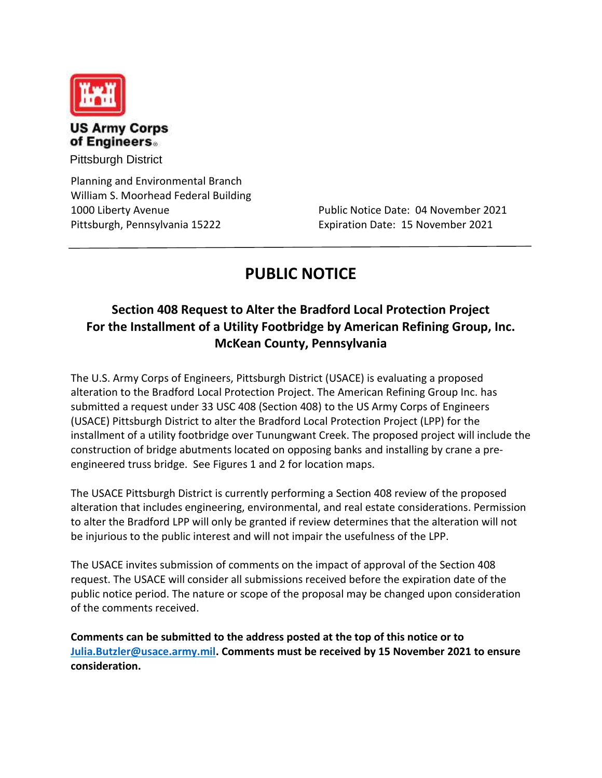

## **US Army Corps** of Engineers.

Pittsburgh District

Planning and Environmental Branch William S. Moorhead Federal Building Pittsburgh, Pennsylvania 15222 Expiration Date: 15 November 2021

1000 Liberty Avenue Public Notice Date: 04 November 2021

## **PUBLIC NOTICE**

## **Section 408 Request to Alter the Bradford Local Protection Project For the Installment of a Utility Footbridge by American Refining Group, Inc. McKean County, Pennsylvania**

The U.S. Army Corps of Engineers, Pittsburgh District (USACE) is evaluating a proposed alteration to the Bradford Local Protection Project. The American Refining Group Inc. has submitted a request under 33 USC 408 (Section 408) to the US Army Corps of Engineers (USACE) Pittsburgh District to alter the Bradford Local Protection Project (LPP) for the installment of a utility footbridge over Tunungwant Creek. The proposed project will include the construction of bridge abutments located on opposing banks and installing by crane a preengineered truss bridge. See Figures 1 and 2 for location maps.

The USACE Pittsburgh District is currently performing a Section 408 review of the proposed alteration that includes engineering, environmental, and real estate considerations. Permission to alter the Bradford LPP will only be granted if review determines that the alteration will not be injurious to the public interest and will not impair the usefulness of the LPP.

The USACE invites submission of comments on the impact of approval of the Section 408 request. The USACE will consider all submissions received before the expiration date of the public notice period. The nature or scope of the proposal may be changed upon consideration of the comments received.

**Comments can be submitted to the address posted at the top of this notice or to Julia.Butzler@usace.army.mil. Comments must be received by 15 November 2021 to ensure consideration.**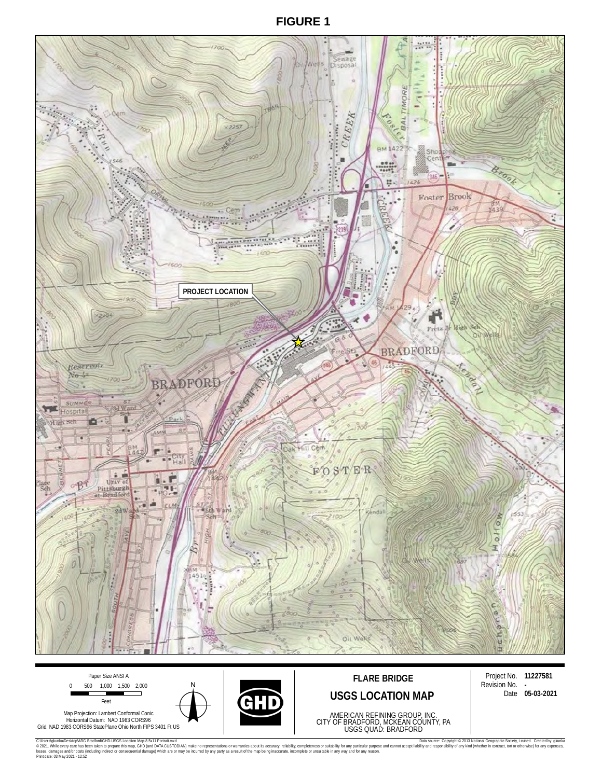**FIGURE 1**





C:Users)(users) are the state of the Distancement Distancement Market and Market Market Market Assemble 2013 National Companisment Distance Copyright® 2013 National Geographic Society, I-cubed. Created by glunka<br>Instagram